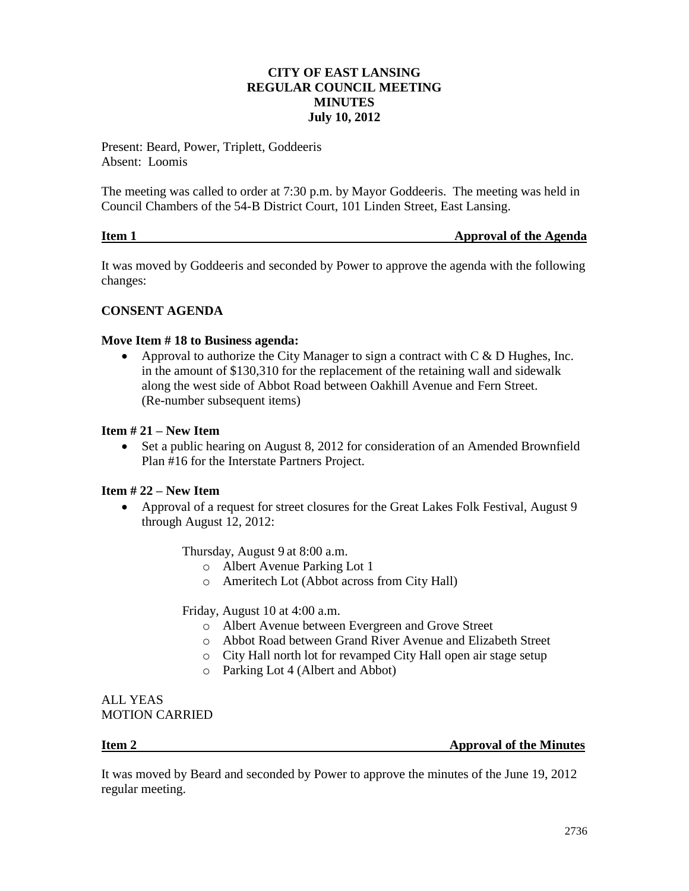# **CITY OF EAST LANSING REGULAR COUNCIL MEETING MINUTES July 10, 2012**

Present: Beard, Power, Triplett, Goddeeris Absent: Loomis

The meeting was called to order at 7:30 p.m. by Mayor Goddeeris. The meeting was held in Council Chambers of the 54-B District Court, 101 Linden Street, East Lansing.

| Item 1 | <b>Approval of the Agenda</b> |
|--------|-------------------------------|
|        |                               |

It was moved by Goddeeris and seconded by Power to approve the agenda with the following changes:

# **CONSENT AGENDA**

### **Move Item # 18 to Business agenda:**

• Approval to authorize the City Manager to sign a contract with  $C \& D$  Hughes, Inc. in the amount of \$130,310 for the replacement of the retaining wall and sidewalk along the west side of Abbot Road between Oakhill Avenue and Fern Street. (Re-number subsequent items)

### **Item # 21 – New Item**

 Set a public hearing on August 8, 2012 for consideration of an Amended Brownfield Plan #16 for the Interstate Partners Project.

# **Item # 22 – New Item**

 Approval of a request for street closures for the Great Lakes Folk Festival, August 9 through August 12, 2012:

Thursday, August 9 at 8:00 a.m.

- o Albert Avenue Parking Lot 1
- o Ameritech Lot (Abbot across from City Hall)

Friday, August 10 at 4:00 a.m.

- o Albert Avenue between Evergreen and Grove Street
- o Abbot Road between Grand River Avenue and Elizabeth Street
- o City Hall north lot for revamped City Hall open air stage setup
- o Parking Lot 4 (Albert and Abbot)

ALL YEAS MOTION CARRIED

**Item 2 Approval of the Minutes** 

It was moved by Beard and seconded by Power to approve the minutes of the June 19, 2012 regular meeting.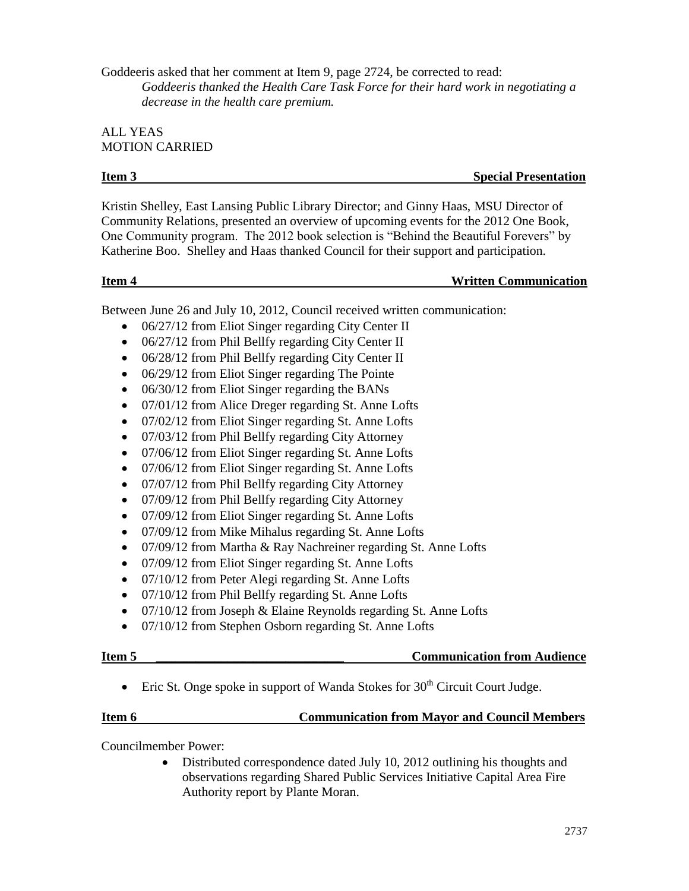Goddeeris asked that her comment at Item 9, page 2724, be corrected to read: *Goddeeris thanked the Health Care Task Force for their hard work in negotiating a decrease in the health care premium.*

# ALL YEAS MOTION CARRIED

**Item 3** Special Presentation

Kristin Shelley, East Lansing Public Library Director; and Ginny Haas, MSU Director of Community Relations, presented an overview of upcoming events for the 2012 One Book, One Community program. The 2012 book selection is "Behind the Beautiful Forevers" by Katherine Boo. Shelley and Haas thanked Council for their support and participation.

# **Item 4 Written Communication**

Between June 26 and July 10, 2012, Council received written communication:

- 06/27/12 from Eliot Singer regarding City Center II
- 06/27/12 from Phil Bellfy regarding City Center II
- 06/28/12 from Phil Bellfy regarding City Center II
- 06/29/12 from Eliot Singer regarding The Pointe
- 06/30/12 from Eliot Singer regarding the BANs
- 07/01/12 from Alice Dreger regarding St. Anne Lofts
- 07/02/12 from Eliot Singer regarding St. Anne Lofts
- 07/03/12 from Phil Bellfy regarding City Attorney
- 07/06/12 from Eliot Singer regarding St. Anne Lofts
- 07/06/12 from Eliot Singer regarding St. Anne Lofts
- 07/07/12 from Phil Bellfy regarding City Attorney
- 07/09/12 from Phil Bellfy regarding City Attorney
- 07/09/12 from Eliot Singer regarding St. Anne Lofts
- 07/09/12 from Mike Mihalus regarding St. Anne Lofts
- 07/09/12 from Martha & Ray Nachreiner regarding St. Anne Lofts
- 07/09/12 from Eliot Singer regarding St. Anne Lofts
- 07/10/12 from Peter Alegi regarding St. Anne Lofts
- 07/10/12 from Phil Bellfy regarding St. Anne Lofts
- 07/10/12 from Joseph & Elaine Reynolds regarding St. Anne Lofts
- 07/10/12 from Stephen Osborn regarding St. Anne Lofts

# **Item 5 Communication from Audience**

• Eric St. Onge spoke in support of Wanda Stokes for  $30<sup>th</sup>$  Circuit Court Judge.

# **Item 6 Communication from Mayor and Council Members**

Councilmember Power:

 Distributed correspondence dated July 10, 2012 outlining his thoughts and observations regarding Shared Public Services Initiative Capital Area Fire Authority report by Plante Moran.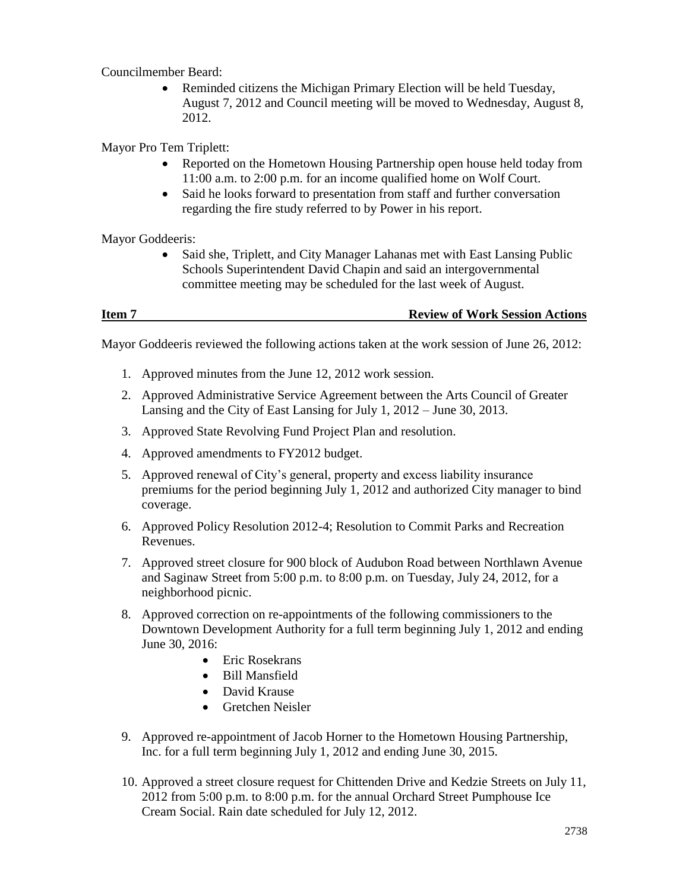Councilmember Beard:

• Reminded citizens the Michigan Primary Election will be held Tuesday, August 7, 2012 and Council meeting will be moved to Wednesday, August 8, 2012.

Mayor Pro Tem Triplett:

- Reported on the Hometown Housing Partnership open house held today from 11:00 a.m. to 2:00 p.m. for an income qualified home on Wolf Court.
- Said he looks forward to presentation from staff and further conversation regarding the fire study referred to by Power in his report.

Mayor Goddeeris:

• Said she, Triplett, and City Manager Lahanas met with East Lansing Public Schools Superintendent David Chapin and said an intergovernmental committee meeting may be scheduled for the last week of August.

**Item 7** Review of Work Session Actions

Mayor Goddeeris reviewed the following actions taken at the work session of June 26, 2012:

- 1. Approved minutes from the June 12, 2012 work session.
- 2. Approved Administrative Service Agreement between the Arts Council of Greater Lansing and the City of East Lansing for July 1, 2012 – June 30, 2013.
- 3. Approved State Revolving Fund Project Plan and resolution.
- 4. Approved amendments to FY2012 budget.
- 5. Approved renewal of City's general, property and excess liability insurance premiums for the period beginning July 1, 2012 and authorized City manager to bind coverage.
- 6. Approved Policy Resolution 2012-4; Resolution to Commit Parks and Recreation Revenues.
- 7. Approved street closure for 900 block of Audubon Road between Northlawn Avenue and Saginaw Street from 5:00 p.m. to 8:00 p.m. on Tuesday, July 24, 2012, for a neighborhood picnic.
- 8. Approved correction on re-appointments of the following commissioners to the Downtown Development Authority for a full term beginning July 1, 2012 and ending June 30, 2016:
	- Eric Rosekrans
	- Bill Mansfield
	- David Krause
	- Gretchen Neisler
- 9. Approved re-appointment of Jacob Horner to the Hometown Housing Partnership, Inc. for a full term beginning July 1, 2012 and ending June 30, 2015.
- 10. Approved a street closure request for Chittenden Drive and Kedzie Streets on July 11, 2012 from 5:00 p.m. to 8:00 p.m. for the annual Orchard Street Pumphouse Ice Cream Social. Rain date scheduled for July 12, 2012.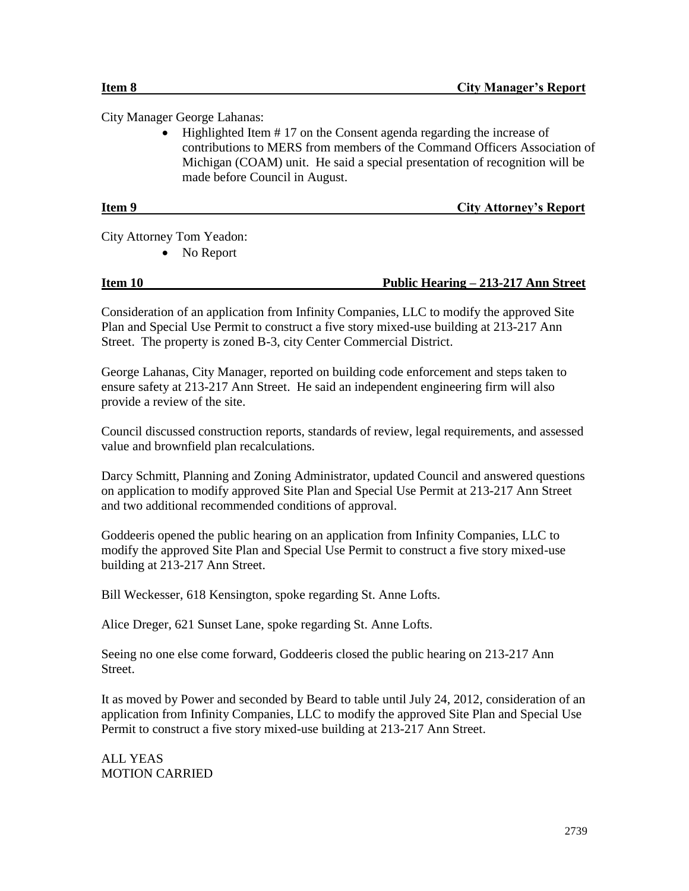City Manager George Lahanas:

 Highlighted Item # 17 on the Consent agenda regarding the increase of contributions to MERS from members of the Command Officers Association of Michigan (COAM) unit. He said a special presentation of recognition will be made before Council in August.

| Item 9 | <b>City Attorney's Report</b> |
|--------|-------------------------------|
|        |                               |

City Attorney Tom Yeadon:

No Report

### **Item 10 Public Hearing – 213-217 Ann Street**

Consideration of an application from Infinity Companies, LLC to modify the approved Site Plan and Special Use Permit to construct a five story mixed-use building at 213-217 Ann Street. The property is zoned B-3, city Center Commercial District.

George Lahanas, City Manager, reported on building code enforcement and steps taken to ensure safety at 213-217 Ann Street. He said an independent engineering firm will also provide a review of the site.

Council discussed construction reports, standards of review, legal requirements, and assessed value and brownfield plan recalculations.

Darcy Schmitt, Planning and Zoning Administrator, updated Council and answered questions on application to modify approved Site Plan and Special Use Permit at 213-217 Ann Street and two additional recommended conditions of approval.

Goddeeris opened the public hearing on an application from Infinity Companies, LLC to modify the approved Site Plan and Special Use Permit to construct a five story mixed-use building at 213-217 Ann Street.

Bill Weckesser, 618 Kensington, spoke regarding St. Anne Lofts.

Alice Dreger, 621 Sunset Lane, spoke regarding St. Anne Lofts.

Seeing no one else come forward, Goddeeris closed the public hearing on 213-217 Ann Street.

It as moved by Power and seconded by Beard to table until July 24, 2012, consideration of an application from Infinity Companies, LLC to modify the approved Site Plan and Special Use Permit to construct a five story mixed-use building at 213-217 Ann Street.

ALL YEAS MOTION CARRIED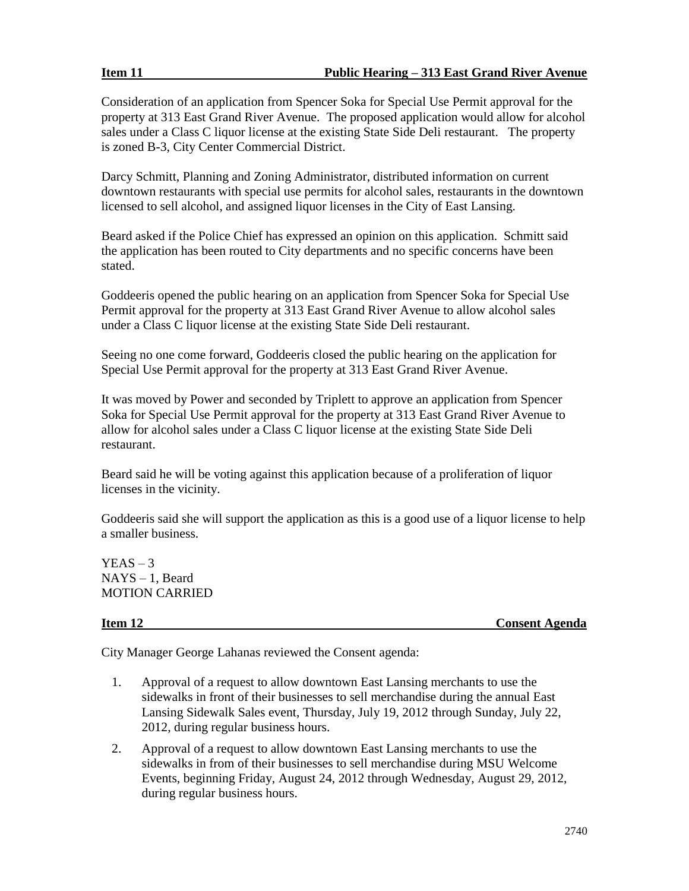Consideration of an application from Spencer Soka for Special Use Permit approval for the property at 313 East Grand River Avenue. The proposed application would allow for alcohol sales under a Class C liquor license at the existing State Side Deli restaurant. The property is zoned B-3, City Center Commercial District.

Darcy Schmitt, Planning and Zoning Administrator, distributed information on current downtown restaurants with special use permits for alcohol sales, restaurants in the downtown licensed to sell alcohol, and assigned liquor licenses in the City of East Lansing.

Beard asked if the Police Chief has expressed an opinion on this application. Schmitt said the application has been routed to City departments and no specific concerns have been stated.

Goddeeris opened the public hearing on an application from Spencer Soka for Special Use Permit approval for the property at 313 East Grand River Avenue to allow alcohol sales under a Class C liquor license at the existing State Side Deli restaurant.

Seeing no one come forward, Goddeeris closed the public hearing on the application for Special Use Permit approval for the property at 313 East Grand River Avenue.

It was moved by Power and seconded by Triplett to approve an application from Spencer Soka for Special Use Permit approval for the property at 313 East Grand River Avenue to allow for alcohol sales under a Class C liquor license at the existing State Side Deli restaurant.

Beard said he will be voting against this application because of a proliferation of liquor licenses in the vicinity.

Goddeeris said she will support the application as this is a good use of a liquor license to help a smaller business.

 $YEAS - 3$ NAYS – 1, Beard MOTION CARRIED

**Item 12 Consent Agenda**

City Manager George Lahanas reviewed the Consent agenda:

- 1. Approval of a request to allow downtown East Lansing merchants to use the sidewalks in front of their businesses to sell merchandise during the annual East Lansing Sidewalk Sales event, Thursday, July 19, 2012 through Sunday, July 22, 2012, during regular business hours.
- 2. Approval of a request to allow downtown East Lansing merchants to use the sidewalks in from of their businesses to sell merchandise during MSU Welcome Events, beginning Friday, August 24, 2012 through Wednesday, August 29, 2012, during regular business hours.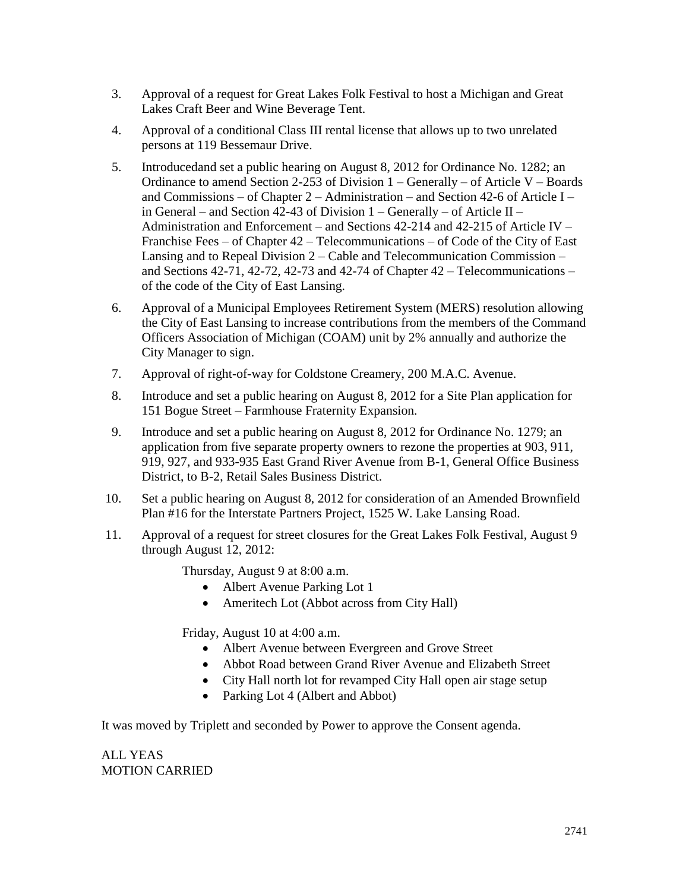- 3. Approval of a request for Great Lakes Folk Festival to host a Michigan and Great Lakes Craft Beer and Wine Beverage Tent.
- 4. Approval of a conditional Class III rental license that allows up to two unrelated persons at 119 Bessemaur Drive.
- 5. Introducedand set a public hearing on August 8, 2012 for Ordinance No. 1282; an Ordinance to amend Section 2-253 of Division 1 – Generally – of Article V – Boards and Commissions – of Chapter 2 – Administration – and Section 42-6 of Article I – in General – and Section 42-43 of Division 1 – Generally – of Article II – Administration and Enforcement – and Sections 42-214 and 42-215 of Article IV – Franchise Fees – of Chapter 42 – Telecommunications – of Code of the City of East Lansing and to Repeal Division 2 – Cable and Telecommunication Commission – and Sections 42-71, 42-72, 42-73 and 42-74 of Chapter 42 – Telecommunications – of the code of the City of East Lansing.
- 6. Approval of a Municipal Employees Retirement System (MERS) resolution allowing the City of East Lansing to increase contributions from the members of the Command Officers Association of Michigan (COAM) unit by 2% annually and authorize the City Manager to sign.
- 7. Approval of right-of-way for Coldstone Creamery, 200 M.A.C. Avenue.
- 8. Introduce and set a public hearing on August 8, 2012 for a Site Plan application for 151 Bogue Street – Farmhouse Fraternity Expansion.
- 9. Introduce and set a public hearing on August 8, 2012 for Ordinance No. 1279; an application from five separate property owners to rezone the properties at 903, 911, 919, 927, and 933-935 East Grand River Avenue from B-1, General Office Business District, to B-2, Retail Sales Business District.
- 10. Set a public hearing on August 8, 2012 for consideration of an Amended Brownfield Plan #16 for the Interstate Partners Project, 1525 W. Lake Lansing Road.
- 11. Approval of a request for street closures for the Great Lakes Folk Festival, August 9 through August 12, 2012:

Thursday, August 9 at 8:00 a.m.

- Albert Avenue Parking Lot 1
- Ameritech Lot (Abbot across from City Hall)

Friday, August 10 at 4:00 a.m.

- Albert Avenue between Evergreen and Grove Street
- Abbot Road between Grand River Avenue and Elizabeth Street
- City Hall north lot for revamped City Hall open air stage setup
- Parking Lot 4 (Albert and Abbot)

It was moved by Triplett and seconded by Power to approve the Consent agenda.

ALL YEAS MOTION CARRIED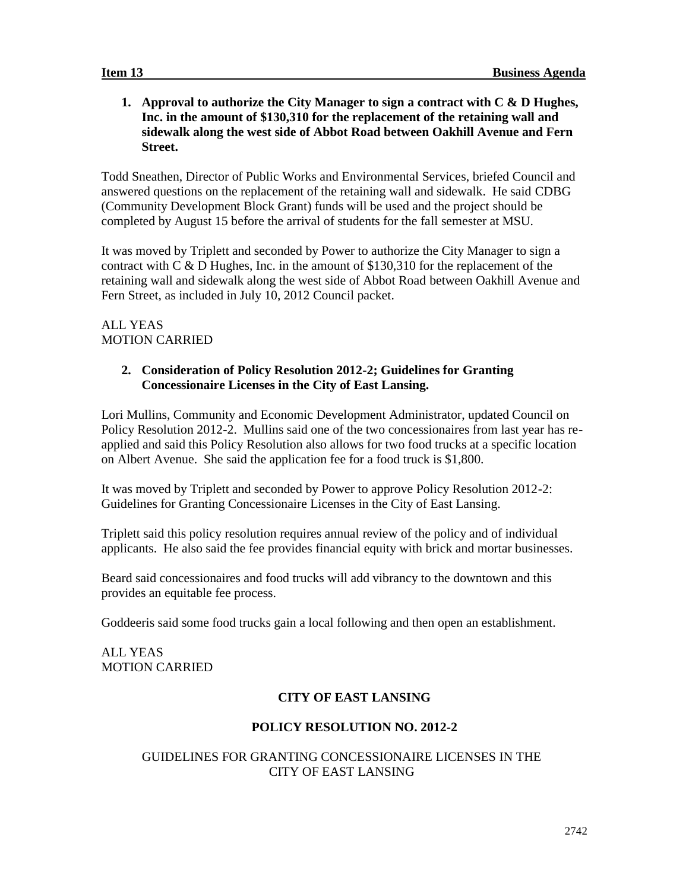# **1. Approval to authorize the City Manager to sign a contract with C & D Hughes, Inc. in the amount of \$130,310 for the replacement of the retaining wall and sidewalk along the west side of Abbot Road between Oakhill Avenue and Fern Street.**

Todd Sneathen, Director of Public Works and Environmental Services, briefed Council and answered questions on the replacement of the retaining wall and sidewalk. He said CDBG (Community Development Block Grant) funds will be used and the project should be completed by August 15 before the arrival of students for the fall semester at MSU.

It was moved by Triplett and seconded by Power to authorize the City Manager to sign a contract with C & D Hughes, Inc. in the amount of \$130,310 for the replacement of the retaining wall and sidewalk along the west side of Abbot Road between Oakhill Avenue and Fern Street, as included in July 10, 2012 Council packet.

# ALL YEAS MOTION CARRIED

# **2. Consideration of Policy Resolution 2012-2; Guidelines for Granting Concessionaire Licenses in the City of East Lansing.**

Lori Mullins, Community and Economic Development Administrator, updated Council on Policy Resolution 2012-2. Mullins said one of the two concessionaires from last year has reapplied and said this Policy Resolution also allows for two food trucks at a specific location on Albert Avenue. She said the application fee for a food truck is \$1,800.

It was moved by Triplett and seconded by Power to approve Policy Resolution 2012-2: Guidelines for Granting Concessionaire Licenses in the City of East Lansing.

Triplett said this policy resolution requires annual review of the policy and of individual applicants. He also said the fee provides financial equity with brick and mortar businesses.

Beard said concessionaires and food trucks will add vibrancy to the downtown and this provides an equitable fee process.

Goddeeris said some food trucks gain a local following and then open an establishment.

ALL YEAS MOTION CARRIED

# **CITY OF EAST LANSING**

# **POLICY RESOLUTION NO. 2012-2**

# GUIDELINES FOR GRANTING CONCESSIONAIRE LICENSES IN THE CITY OF EAST LANSING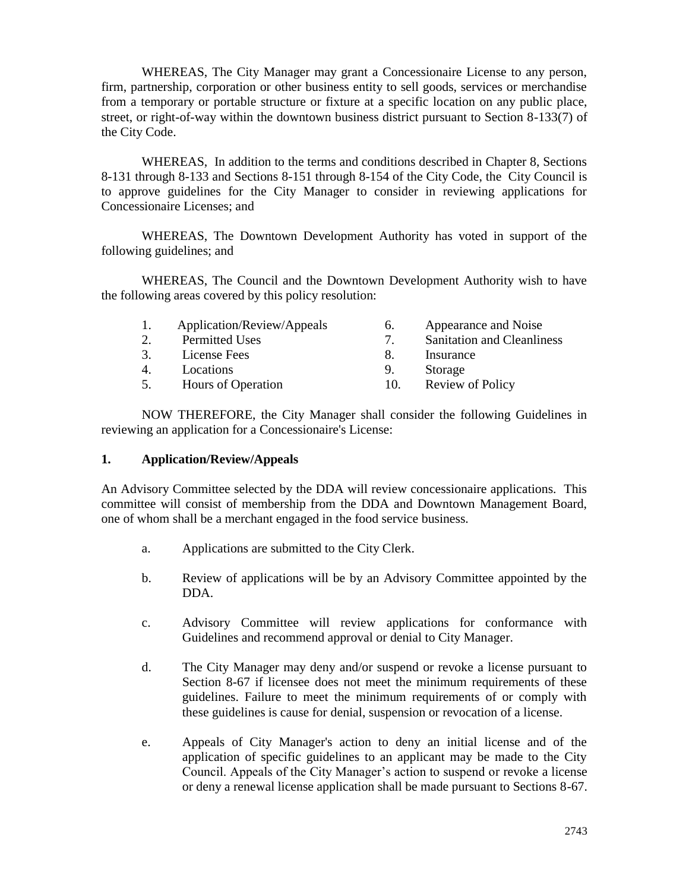WHEREAS, The City Manager may grant a Concessionaire License to any person, firm, partnership, corporation or other business entity to sell goods, services or merchandise from a temporary or portable structure or fixture at a specific location on any public place, street, or right-of-way within the downtown business district pursuant to Section 8-133(7) of the City Code.

WHEREAS, In addition to the terms and conditions described in Chapter 8, Sections 8-131 through 8-133 and Sections 8-151 through 8-154 of the City Code, the City Council is to approve guidelines for the City Manager to consider in reviewing applications for Concessionaire Licenses; and

WHEREAS, The Downtown Development Authority has voted in support of the following guidelines; and

WHEREAS, The Council and the Downtown Development Authority wish to have the following areas covered by this policy resolution:

| Appearance and Noise              |
|-----------------------------------|
| <b>Sanitation and Cleanliness</b> |
|                                   |
|                                   |
| <b>Review of Policy</b>           |
|                                   |

NOW THEREFORE, the City Manager shall consider the following Guidelines in reviewing an application for a Concessionaire's License:

### **1. Application/Review/Appeals**

An Advisory Committee selected by the DDA will review concessionaire applications. This committee will consist of membership from the DDA and Downtown Management Board, one of whom shall be a merchant engaged in the food service business.

- a. Applications are submitted to the City Clerk.
- b. Review of applications will be by an Advisory Committee appointed by the DDA.
- c. Advisory Committee will review applications for conformance with Guidelines and recommend approval or denial to City Manager.
- d. The City Manager may deny and/or suspend or revoke a license pursuant to Section 8-67 if licensee does not meet the minimum requirements of these guidelines. Failure to meet the minimum requirements of or comply with these guidelines is cause for denial, suspension or revocation of a license.
- e. Appeals of City Manager's action to deny an initial license and of the application of specific guidelines to an applicant may be made to the City Council. Appeals of the City Manager's action to suspend or revoke a license or deny a renewal license application shall be made pursuant to Sections 8-67.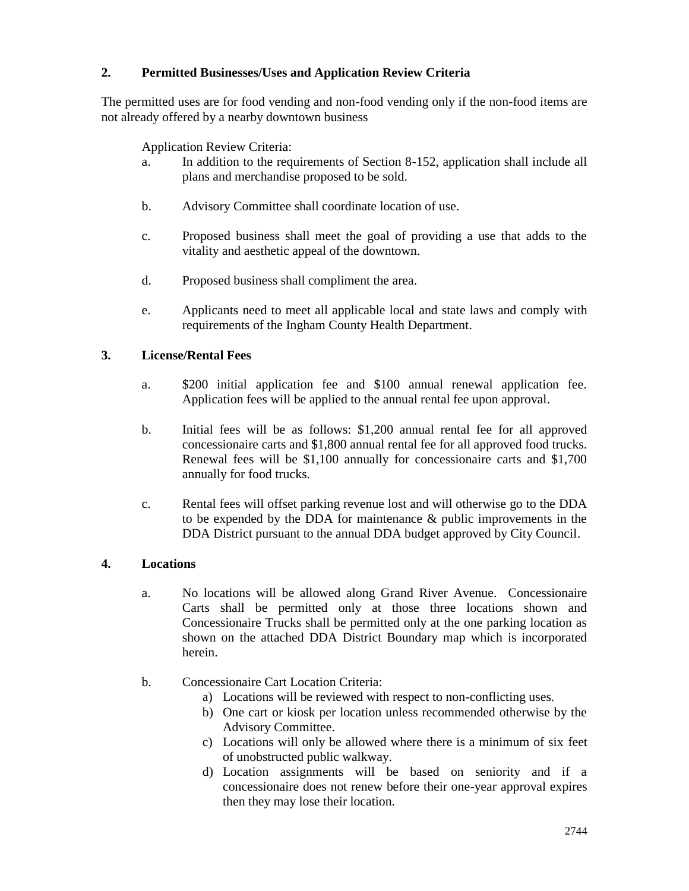# **2. Permitted Businesses/Uses and Application Review Criteria**

The permitted uses are for food vending and non-food vending only if the non-food items are not already offered by a nearby downtown business

Application Review Criteria:

- a. In addition to the requirements of Section 8-152, application shall include all plans and merchandise proposed to be sold.
- b. Advisory Committee shall coordinate location of use.
- c. Proposed business shall meet the goal of providing a use that adds to the vitality and aesthetic appeal of the downtown.
- d. Proposed business shall compliment the area.
- e. Applicants need to meet all applicable local and state laws and comply with requirements of the Ingham County Health Department.

### **3. License/Rental Fees**

- a. \$200 initial application fee and \$100 annual renewal application fee. Application fees will be applied to the annual rental fee upon approval.
- b. Initial fees will be as follows: \$1,200 annual rental fee for all approved concessionaire carts and \$1,800 annual rental fee for all approved food trucks. Renewal fees will be \$1,100 annually for concessionaire carts and \$1,700 annually for food trucks.
- c. Rental fees will offset parking revenue lost and will otherwise go to the DDA to be expended by the DDA for maintenance & public improvements in the DDA District pursuant to the annual DDA budget approved by City Council.

# **4. Locations**

- a. No locations will be allowed along Grand River Avenue. Concessionaire Carts shall be permitted only at those three locations shown and Concessionaire Trucks shall be permitted only at the one parking location as shown on the attached DDA District Boundary map which is incorporated herein.
- b. Concessionaire Cart Location Criteria:
	- a) Locations will be reviewed with respect to non-conflicting uses.
	- b) One cart or kiosk per location unless recommended otherwise by the Advisory Committee.
	- c) Locations will only be allowed where there is a minimum of six feet of unobstructed public walkway.
	- d) Location assignments will be based on seniority and if a concessionaire does not renew before their one-year approval expires then they may lose their location.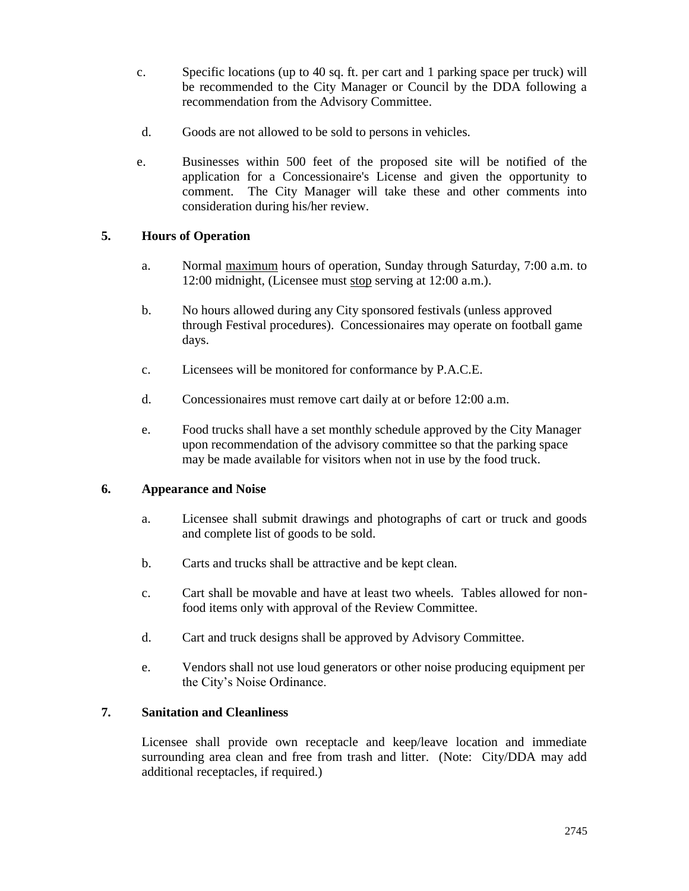- c. Specific locations (up to 40 sq. ft. per cart and 1 parking space per truck) will be recommended to the City Manager or Council by the DDA following a recommendation from the Advisory Committee.
- d. Goods are not allowed to be sold to persons in vehicles.
- e. Businesses within 500 feet of the proposed site will be notified of the application for a Concessionaire's License and given the opportunity to comment. The City Manager will take these and other comments into consideration during his/her review.

# **5. Hours of Operation**

- a. Normal maximum hours of operation, Sunday through Saturday, 7:00 a.m. to 12:00 midnight, (Licensee must stop serving at 12:00 a.m.).
- b. No hours allowed during any City sponsored festivals (unless approved through Festival procedures). Concessionaires may operate on football game days.
- c. Licensees will be monitored for conformance by P.A.C.E.
- d. Concessionaires must remove cart daily at or before 12:00 a.m.
- e. Food trucks shall have a set monthly schedule approved by the City Manager upon recommendation of the advisory committee so that the parking space may be made available for visitors when not in use by the food truck.

## **6. Appearance and Noise**

- a. Licensee shall submit drawings and photographs of cart or truck and goods and complete list of goods to be sold.
- b. Carts and trucks shall be attractive and be kept clean.
- c. Cart shall be movable and have at least two wheels. Tables allowed for nonfood items only with approval of the Review Committee.
- d. Cart and truck designs shall be approved by Advisory Committee.
- e. Vendors shall not use loud generators or other noise producing equipment per the City's Noise Ordinance.

## **7. Sanitation and Cleanliness**

Licensee shall provide own receptacle and keep/leave location and immediate surrounding area clean and free from trash and litter. (Note: City/DDA may add additional receptacles, if required.)